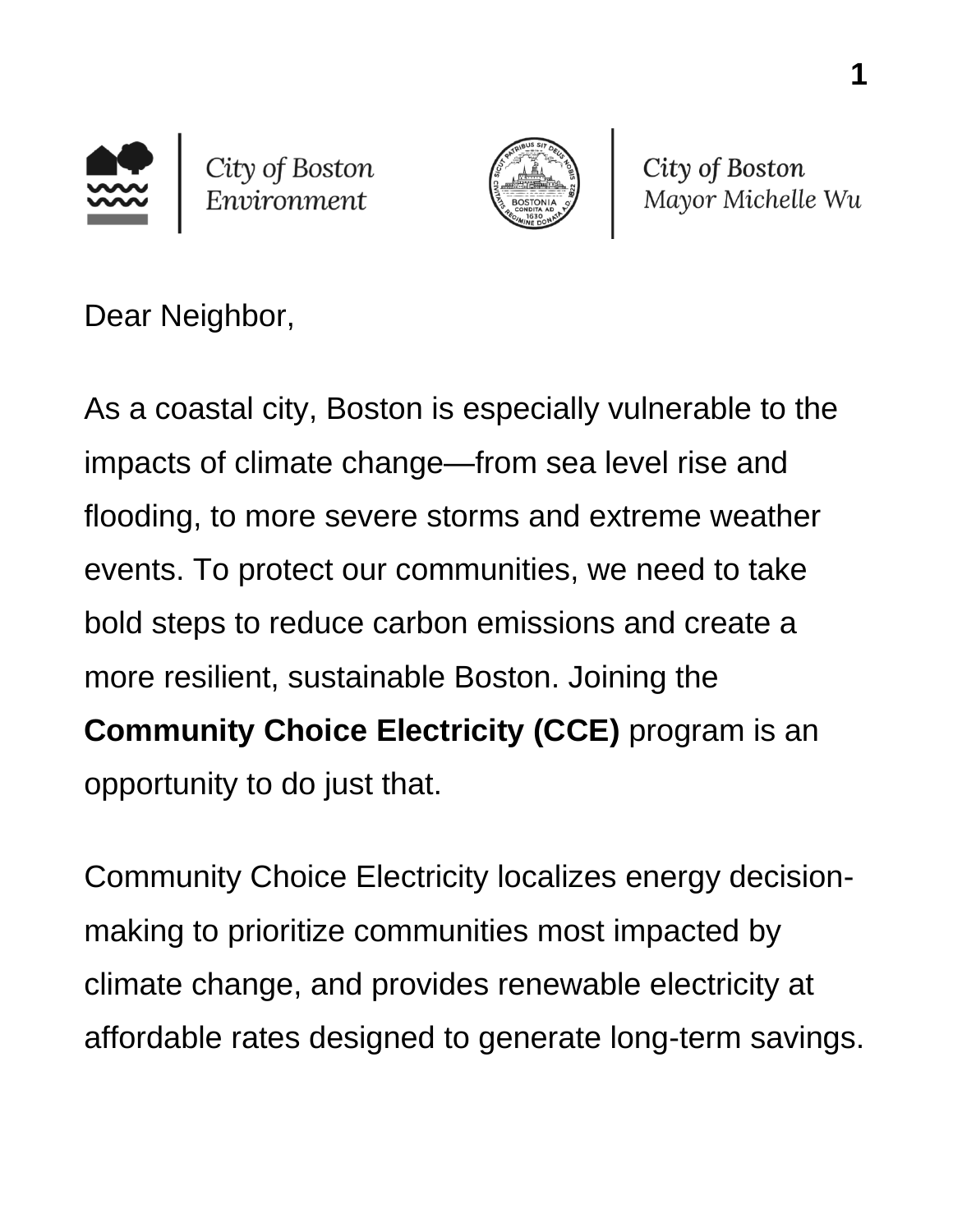



City of Boston Mayor Michelle Wu

Dear Neighbor,

As a coastal city, Boston is especially vulnerable to the impacts of climate change—from sea level rise and flooding, to more severe storms and extreme weather events. To protect our communities, we need to take bold steps to reduce carbon emissions and create a more resilient, sustainable Boston. Joining the **Community Choice Electricity (CCE)** program is an opportunity to do just that.

Community Choice Electricity localizes energy decisionmaking to prioritize communities most impacted by climate change, and provides renewable electricity at affordable rates designed to generate long-term savings.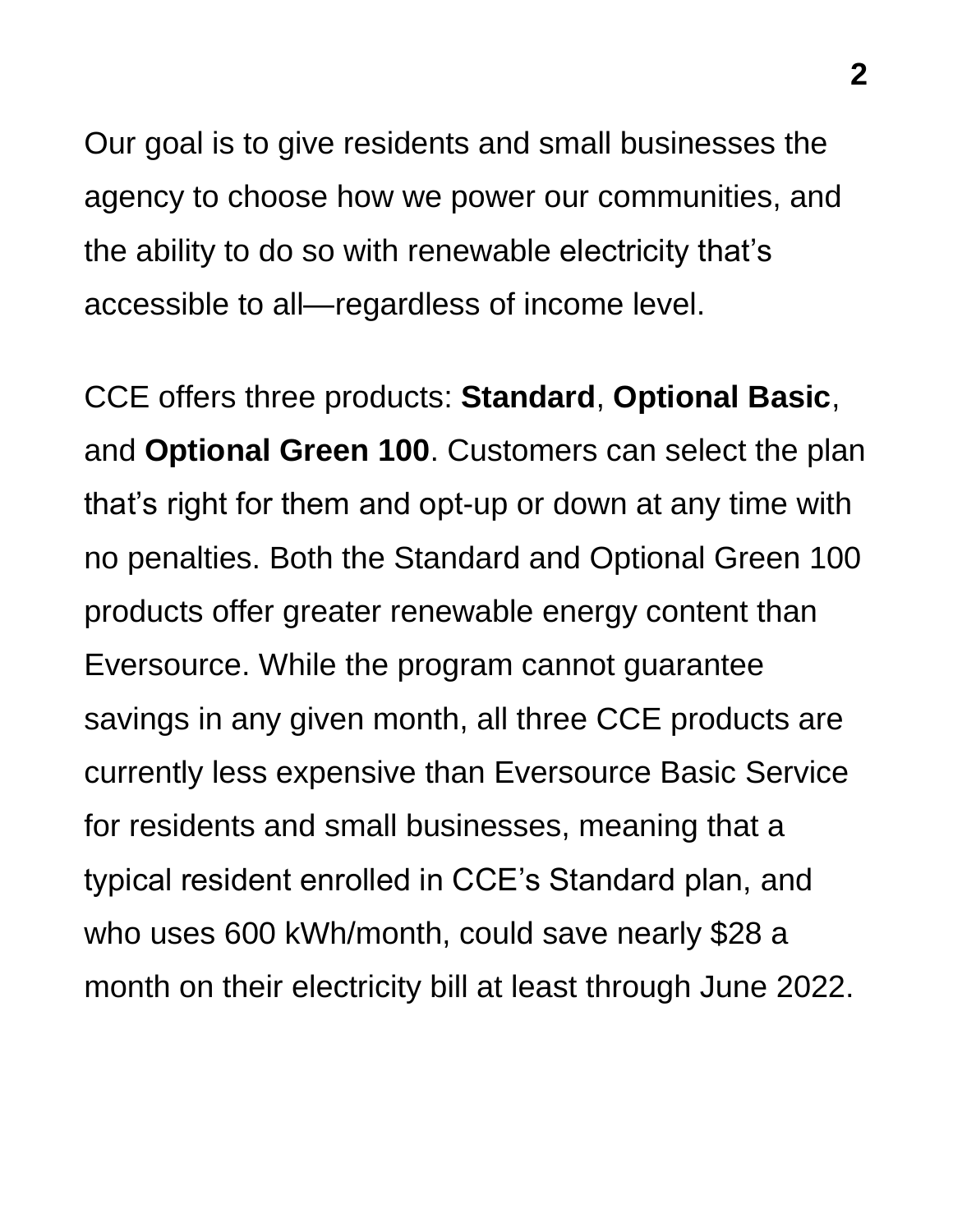Our goal is to give residents and small businesses the agency to choose how we power our communities, and the ability to do so with renewable electricity that's accessible to all—regardless of income level.

CCE offers three products: **Standard**, **Optional Basic**, and **Optional Green 100**. Customers can select the plan that's right for them and opt-up or down at any time with no penalties. Both the Standard and Optional Green 100 products offer greater renewable energy content than Eversource. While the program cannot guarantee savings in any given month, all three CCE products are currently less expensive than Eversource Basic Service for residents and small businesses, meaning that a typical resident enrolled in CCE's Standard plan, and who uses 600 kWh/month, could save nearly \$28 a month on their electricity bill at least through June 2022.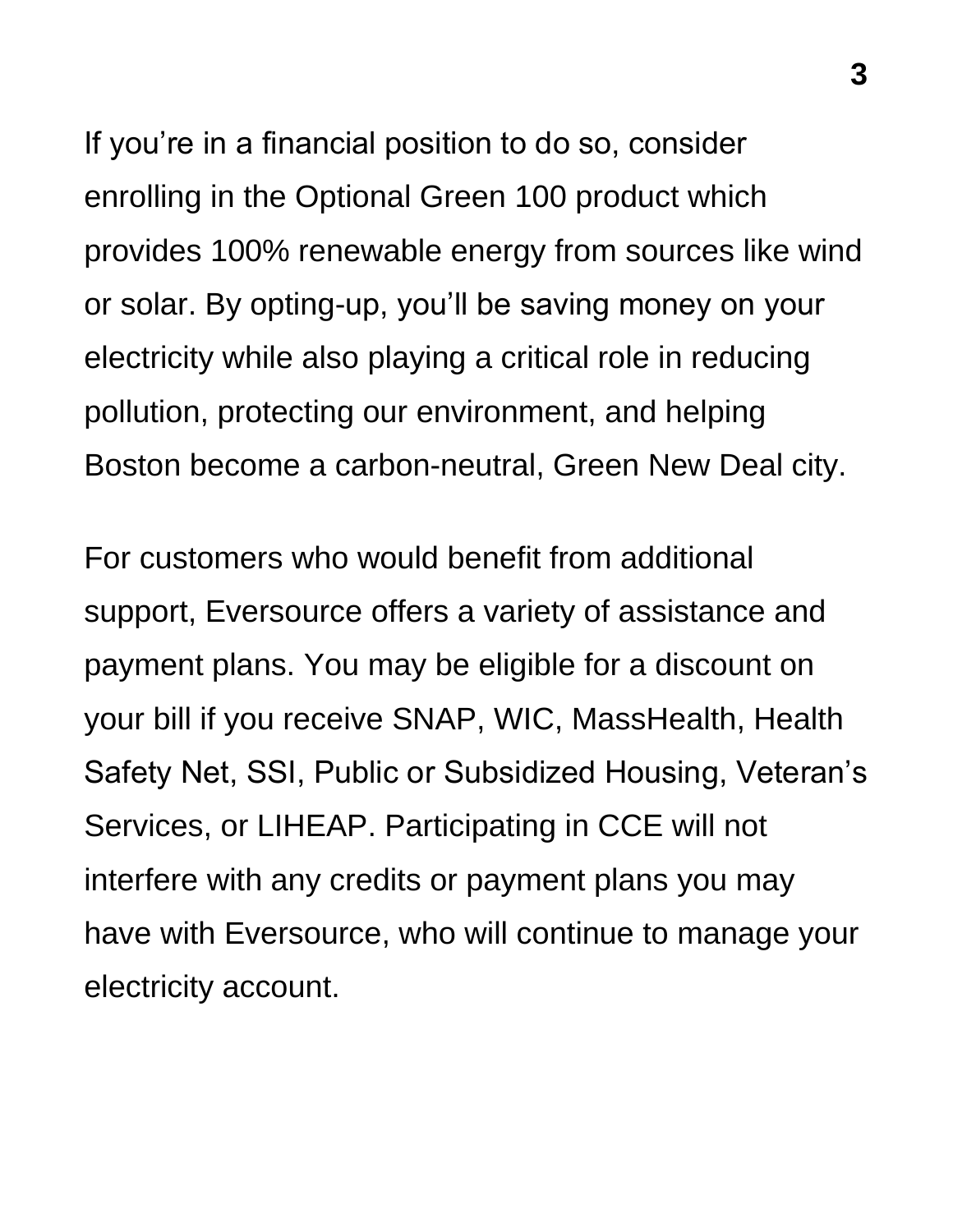If you're in a financial position to do so, consider enrolling in the Optional Green 100 product which provides 100% renewable energy from sources like wind or solar. By opting-up, you'll be saving money on your electricity while also playing a critical role in reducing pollution, protecting our environment, and helping Boston become a carbon-neutral, Green New Deal city.

For customers who would benefit from additional support, Eversource offers a variety of assistance and payment plans. You may be eligible for a discount on your bill if you receive SNAP, WIC, MassHealth, Health Safety Net, SSI, Public or Subsidized Housing, Veteran's Services, or LIHEAP. Participating in CCE will not interfere with any credits or payment plans you may have with Eversource, who will continue to manage your electricity account.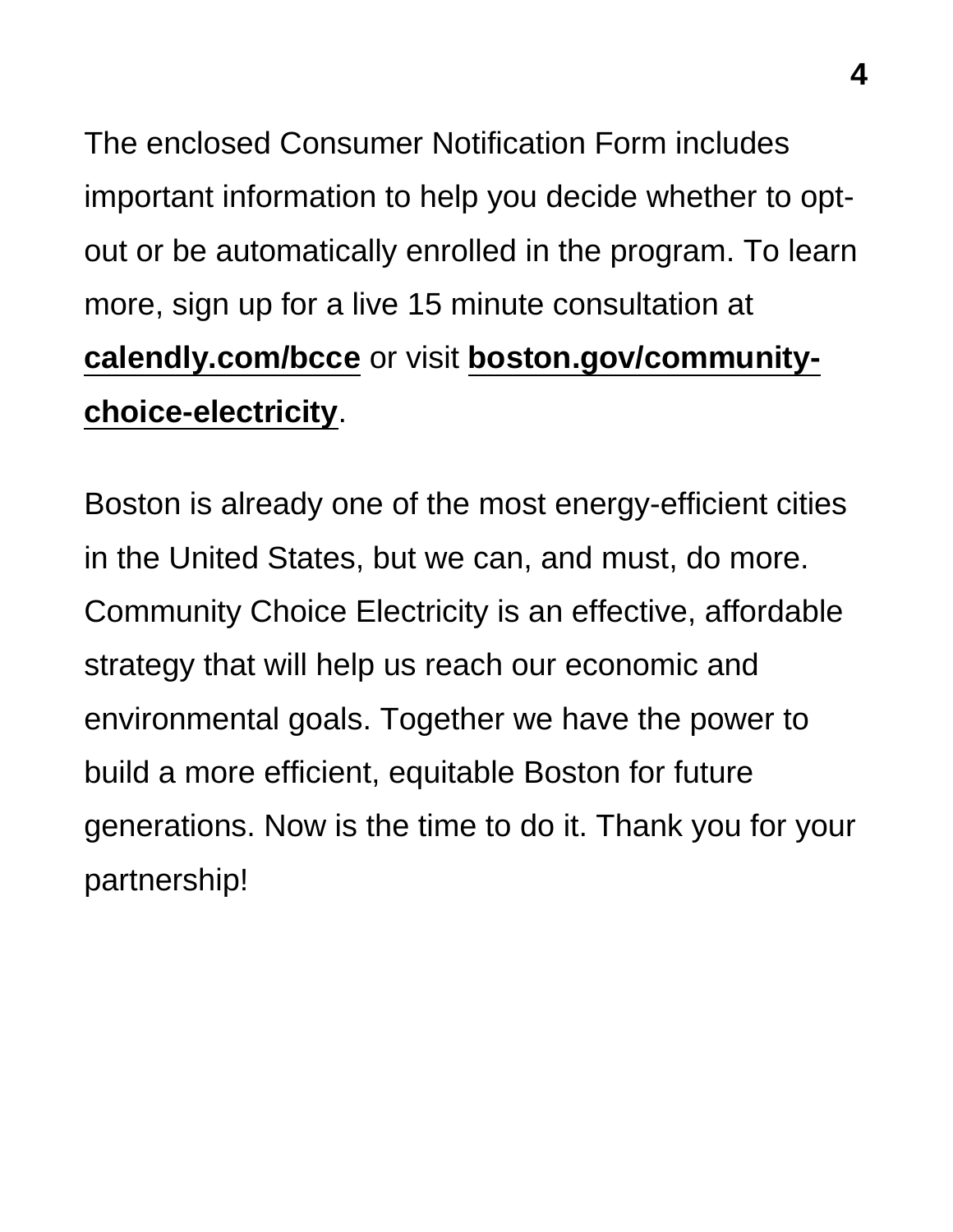The enclosed Consumer Notification Form includes important information to help you decide whether to optout or be automatically enrolled in the program. To learn more, sign up for a live 15 minute consultation at **[calendly.com/bcce](https://calendly.com/bcce)** or visit **[boston.gov/community](https://www.boston.gov/departments/environment/community-choice-electricity)[choice-electricity](https://www.boston.gov/departments/environment/community-choice-electricity)**.

Boston is already one of the most energy-efficient cities in the United States, but we can, and must, do more. Community Choice Electricity is an effective, affordable strategy that will help us reach our economic and environmental goals. Together we have the power to build a more efficient, equitable Boston for future generations. Now is the time to do it. Thank you for your partnership!